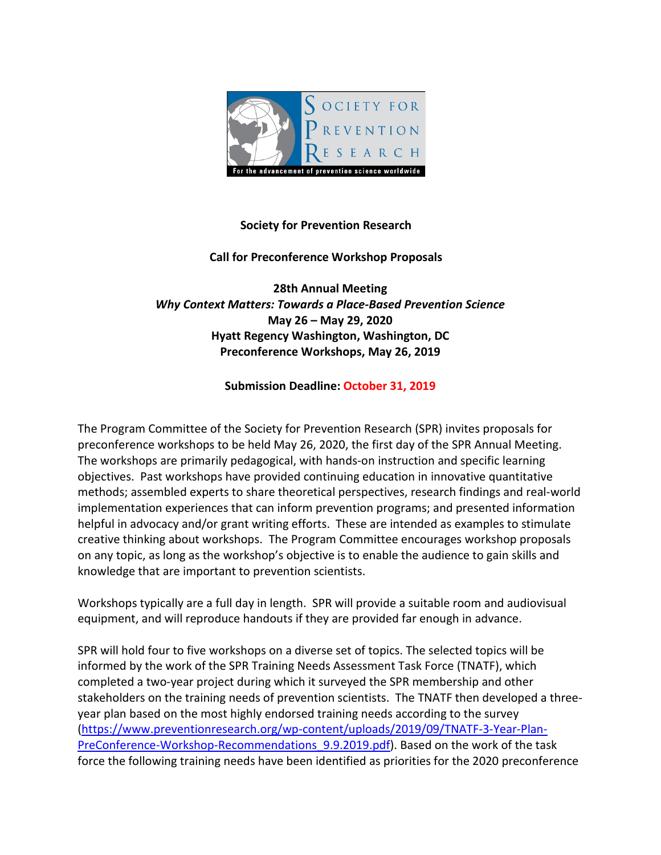

## **Society for Prevention Research**

## **Call for Preconference Workshop Proposals**

**28th Annual Meeting** *Why Context Matters: Towards a Place‐Based Prevention Science* **May 26 – May 29, 2020 Hyatt Regency Washington, Washington, DC Preconference Workshops, May 26, 2019**

**Submission Deadline: October 31, 2019**

The Program Committee of the Society for Prevention Research (SPR) invites proposals for preconference workshops to be held May 26, 2020, the first day of the SPR Annual Meeting. The workshops are primarily pedagogical, with hands-on instruction and specific learning objectives. Past workshops have provided continuing education in innovative quantitative methods; assembled experts to share theoretical perspectives, research findings and real-world implementation experiences that can inform prevention programs; and presented information helpful in advocacy and/or grant writing efforts. These are intended as examples to stimulate creative thinking about workshops. The Program Committee encourages workshop proposals on any topic, as long as the workshop's objective is to enable the audience to gain skills and knowledge that are important to prevention scientists.

Workshops typically are a full day in length. SPR will provide a suitable room and audiovisual equipment, and will reproduce handouts if they are provided far enough in advance.

SPR will hold four to five workshops on a diverse set of topics. The selected topics will be informed by the work of the SPR Training Needs Assessment Task Force (TNATF), which completed a two-year project during which it surveyed the SPR membership and other stakeholders on the training needs of prevention scientists. The TNATF then developed a threeyear plan based on the most highly endorsed training needs according to the survey [\(https://www.preventionresearch.org/wp-content/uploads/2019/09/TNATF-3-Year-Plan-](https://www.preventionresearch.org/wp-content/uploads/2019/09/TNATF-3-Year-Plan-PreConference-Workshop-Recommendations_9.9.2019.pdf)PreConference-Workshop-Recommendations 9.9.2019.pdf). Based on the work of the task force the following training needs have been identified as priorities for the 2020 preconference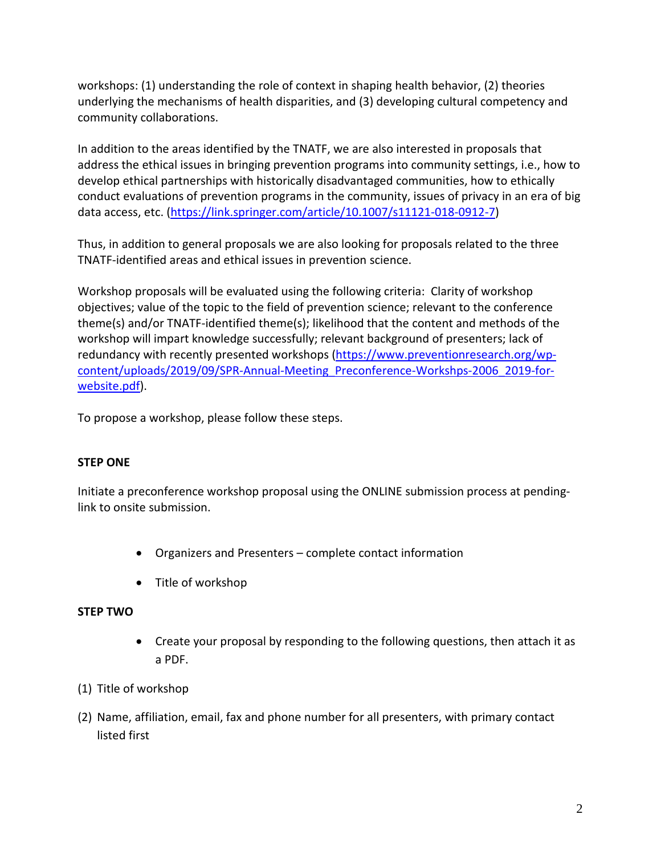workshops: (1) understanding the role of context in shaping health behavior, (2) theories underlying the mechanisms of health disparities, and (3) developing cultural competency and community collaborations.

In addition to the areas identified by the TNATF, we are also interested in proposals that address the ethical issues in bringing prevention programs into community settings, i.e., how to develop ethical partnerships with historically disadvantaged communities, how to ethically conduct evaluations of prevention programs in the community, issues of privacy in an era of big data access, etc. [\(https://link.springer.com/article/10.1007/s11121-018-0912-7\)](https://link.springer.com/article/10.1007/s11121-018-0912-7)

Thus, in addition to general proposals we are also looking for proposals related to the three TNATF-identified areas and ethical issues in prevention science.

Workshop proposals will be evaluated using the following criteria: Clarity of workshop objectives; value of the topic to the field of prevention science; relevant to the conference theme(s) and/or TNATF-identified theme(s); likelihood that the content and methods of the workshop will impart knowledge successfully; relevant background of presenters; lack of redundancy with recently presented workshops [\(https://www.preventionresearch.org/wp](https://www.preventionresearch.org/wp-content/uploads/2019/09/SPR-Annual-Meeting_Preconference-Workshps-2006_2019-for-website.pdf)[content/uploads/2019/09/SPR-Annual-Meeting\\_Preconference-Workshps-2006\\_2019-for](https://www.preventionresearch.org/wp-content/uploads/2019/09/SPR-Annual-Meeting_Preconference-Workshps-2006_2019-for-website.pdf)[website.pdf\)](https://www.preventionresearch.org/wp-content/uploads/2019/09/SPR-Annual-Meeting_Preconference-Workshps-2006_2019-for-website.pdf).

To propose a workshop, please follow these steps.

# **STEP ONE**

Initiate a preconference workshop proposal using the ONLINE submission process at pendinglink to onsite submission.

- Organizers and Presenters complete contact information
- Title of workshop

# **STEP TWO**

- Create your proposal by responding to the following questions, then attach it as a PDF.
- (1) Title of workshop
- (2) Name, affiliation, email, fax and phone number for all presenters, with primary contact listed first